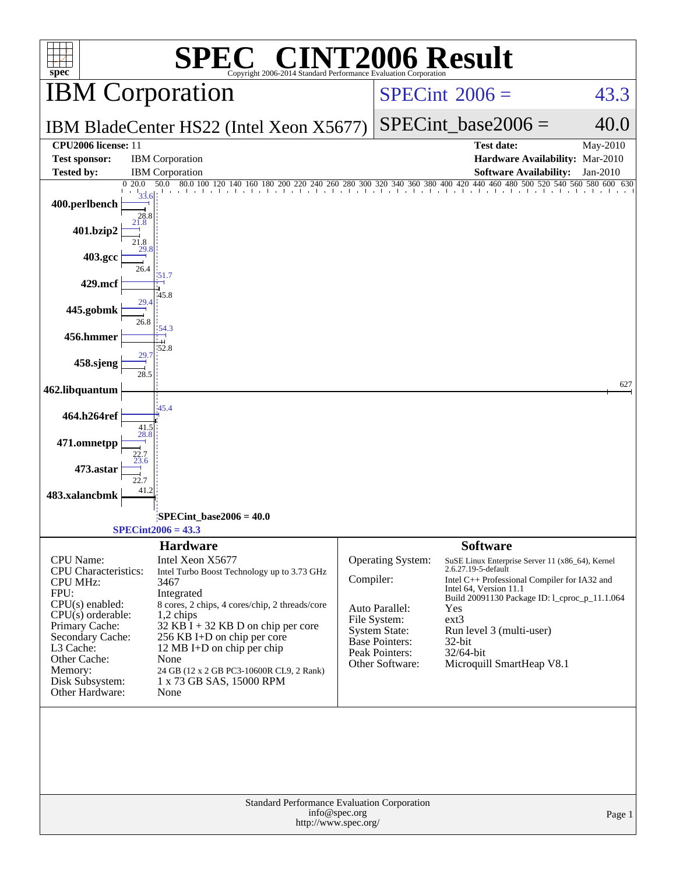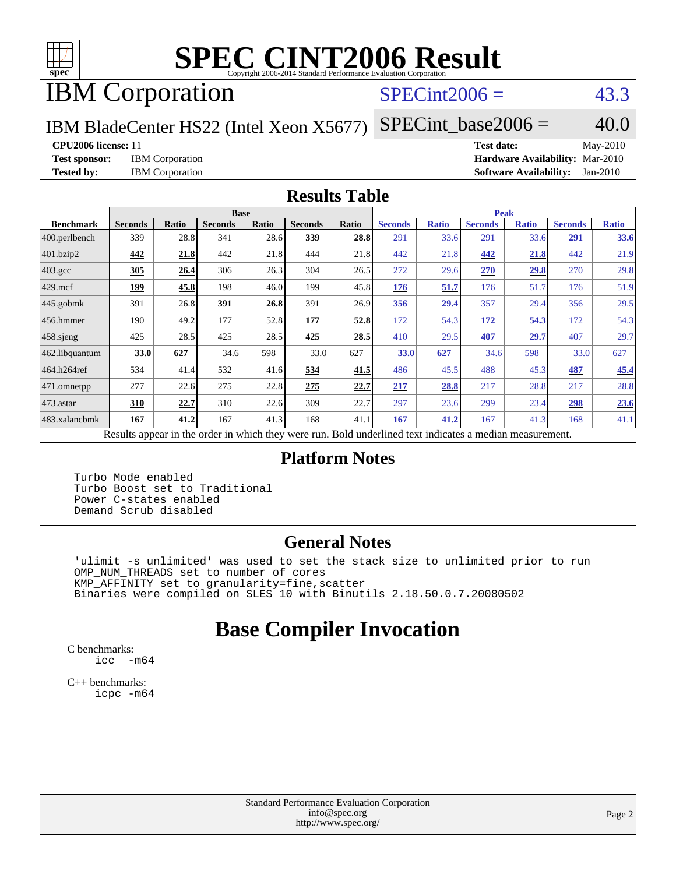

# **[SPEC CINT2006 Result](http://www.spec.org/auto/cpu2006/Docs/result-fields.html#SPECCINT2006Result)**

# IBM Corporation

### $SPECint2006 = 43.3$  $SPECint2006 = 43.3$

IBM BladeCenter HS22 (Intel Xeon X5677)  $SPECTnt\_base2006 = 40.0$ 

### **[CPU2006 license:](http://www.spec.org/auto/cpu2006/Docs/result-fields.html#CPU2006license)** 11 **[Test date:](http://www.spec.org/auto/cpu2006/Docs/result-fields.html#Testdate)** May-2010

**[Test sponsor:](http://www.spec.org/auto/cpu2006/Docs/result-fields.html#Testsponsor)** IBM Corporation **[Hardware Availability:](http://www.spec.org/auto/cpu2006/Docs/result-fields.html#HardwareAvailability)** Mar-2010 **[Tested by:](http://www.spec.org/auto/cpu2006/Docs/result-fields.html#Testedby)** IBM Corporation **[Software Availability:](http://www.spec.org/auto/cpu2006/Docs/result-fields.html#SoftwareAvailability)** Jan-2010

### **[Results Table](http://www.spec.org/auto/cpu2006/Docs/result-fields.html#ResultsTable)**

|                       | <b>Base</b>                                                                                              |       |                |       |                |       | <b>Peak</b>    |              |                |              |                |              |
|-----------------------|----------------------------------------------------------------------------------------------------------|-------|----------------|-------|----------------|-------|----------------|--------------|----------------|--------------|----------------|--------------|
| <b>Benchmark</b>      | <b>Seconds</b>                                                                                           | Ratio | <b>Seconds</b> | Ratio | <b>Seconds</b> | Ratio | <b>Seconds</b> | <b>Ratio</b> | <b>Seconds</b> | <b>Ratio</b> | <b>Seconds</b> | <b>Ratio</b> |
| 400.perlbench         | 339                                                                                                      | 28.8  | 341            | 28.6  | 339            | 28.8  | 291            | 33.6         | 291            | 33.6         | 291            | 33.6         |
| 401.bzip2             | 442                                                                                                      | 21.8  | 442            | 21.8  | 444            | 21.8  | 442            | 21.8         | 442            | 21.8         | 442            | 21.9         |
| $403.\mathrm{gcc}$    | 305                                                                                                      | 26.4  | 306            | 26.3  | 304            | 26.5  | 272            | 29.6         | 270            | 29.8         | 270            | 29.8         |
| $429$ .mcf            | 199                                                                                                      | 45.8  | 198            | 46.0  | 199            | 45.8  | 176            | 51.7         | 176            | 51.7         | 176            | 51.9         |
| $445$ .gobmk          | 391                                                                                                      | 26.8  | 391            | 26.8  | 391            | 26.9  | 356            | 29.4         | 357            | 29.4         | 356            | 29.5         |
| 456.hmmer             | 190                                                                                                      | 49.2  | 177            | 52.8  | 177            | 52.8  | 172            | 54.3         | 172            | 54.3         | 172            | 54.3         |
| $ 458 \text{.}$ sjeng | 425                                                                                                      | 28.5  | 425            | 28.5  | 425            | 28.5  | 410            | 29.5         | 407            | 29.7         | 407            | 29.7         |
| 462.libquantum        | 33.0                                                                                                     | 627   | 34.6           | 598   | 33.0           | 627   | 33.0           | 627          | 34.6           | 598          | 33.0           | 627          |
| 464.h264ref           | 534                                                                                                      | 41.4  | 532            | 41.6  | 534            | 41.5  | 486            | 45.5         | 488            | 45.3         | 487            | 45.4         |
| 471.omnetpp           | 277                                                                                                      | 22.6  | 275            | 22.8  | 275            | 22.7  | 217            | 28.8         | 217            | 28.8         | 217            | 28.8         |
| $473$ . astar         | 310                                                                                                      | 22.7  | 310            | 22.6  | 309            | 22.7  | 297            | 23.6         | 299            | 23.4         | 298            | 23.6         |
| 483.xalancbmk         | 167                                                                                                      | 41.2  | 167            | 41.3  | 168            | 41.1  | 167            | 41.2         | 167            | 41.3         | 168            | 41.1         |
|                       | Results appear in the order in which they were run. Bold underlined text indicates a median measurement. |       |                |       |                |       |                |              |                |              |                |              |

### **[Platform Notes](http://www.spec.org/auto/cpu2006/Docs/result-fields.html#PlatformNotes)**

 Turbo Mode enabled Turbo Boost set to Traditional Power C-states enabled Demand Scrub disabled

### **[General Notes](http://www.spec.org/auto/cpu2006/Docs/result-fields.html#GeneralNotes)**

 'ulimit -s unlimited' was used to set the stack size to unlimited prior to run OMP\_NUM\_THREADS set to number of cores KMP\_AFFINITY set to granularity=fine,scatter Binaries were compiled on SLES 10 with Binutils 2.18.50.0.7.20080502

## **[Base Compiler Invocation](http://www.spec.org/auto/cpu2006/Docs/result-fields.html#BaseCompilerInvocation)**

[C benchmarks](http://www.spec.org/auto/cpu2006/Docs/result-fields.html#Cbenchmarks): [icc -m64](http://www.spec.org/cpu2006/results/res2010q3/cpu2006-20100520-11068.flags.html#user_CCbase_intel_icc_64bit_f346026e86af2a669e726fe758c88044)

[C++ benchmarks:](http://www.spec.org/auto/cpu2006/Docs/result-fields.html#CXXbenchmarks) [icpc -m64](http://www.spec.org/cpu2006/results/res2010q3/cpu2006-20100520-11068.flags.html#user_CXXbase_intel_icpc_64bit_fc66a5337ce925472a5c54ad6a0de310)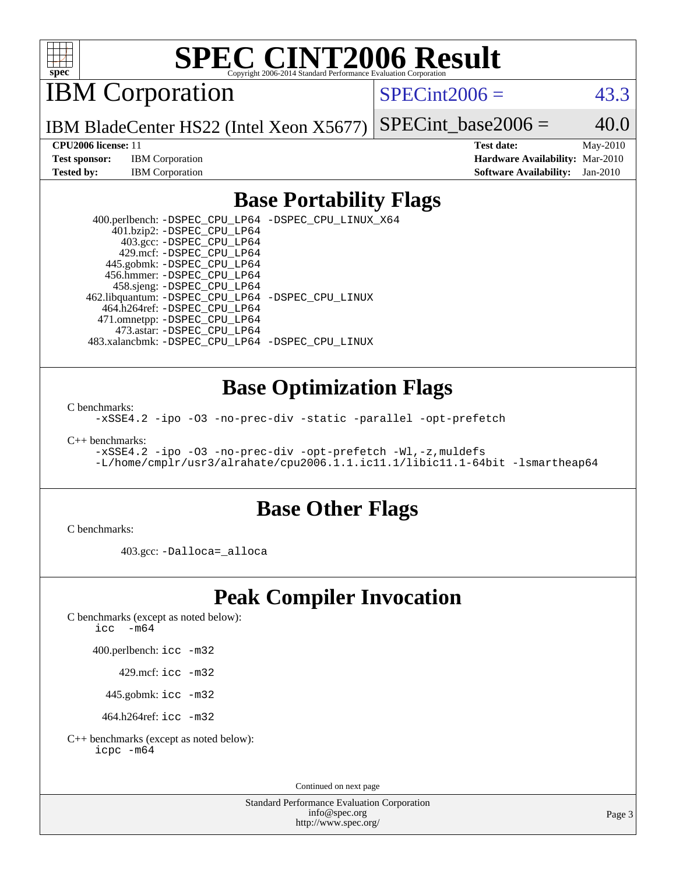

# **[SPEC CINT2006 Result](http://www.spec.org/auto/cpu2006/Docs/result-fields.html#SPECCINT2006Result)**

IBM Corporation

 $SPECint2006 = 43.3$  $SPECint2006 = 43.3$ 

IBM BladeCenter HS22 (Intel Xeon X5677) SPECint base2006 =  $40.0$ 

**[CPU2006 license:](http://www.spec.org/auto/cpu2006/Docs/result-fields.html#CPU2006license)** 11 **[Test date:](http://www.spec.org/auto/cpu2006/Docs/result-fields.html#Testdate)** May-2010 **[Test sponsor:](http://www.spec.org/auto/cpu2006/Docs/result-fields.html#Testsponsor)** IBM Corporation **[Hardware Availability:](http://www.spec.org/auto/cpu2006/Docs/result-fields.html#HardwareAvailability)** Mar-2010 **[Tested by:](http://www.spec.org/auto/cpu2006/Docs/result-fields.html#Testedby)** IBM Corporation **[Software Availability:](http://www.spec.org/auto/cpu2006/Docs/result-fields.html#SoftwareAvailability)** Jan-2010

### **[Base Portability Flags](http://www.spec.org/auto/cpu2006/Docs/result-fields.html#BasePortabilityFlags)**

 400.perlbench: [-DSPEC\\_CPU\\_LP64](http://www.spec.org/cpu2006/results/res2010q3/cpu2006-20100520-11068.flags.html#b400.perlbench_basePORTABILITY_DSPEC_CPU_LP64) [-DSPEC\\_CPU\\_LINUX\\_X64](http://www.spec.org/cpu2006/results/res2010q3/cpu2006-20100520-11068.flags.html#b400.perlbench_baseCPORTABILITY_DSPEC_CPU_LINUX_X64) 401.bzip2: [-DSPEC\\_CPU\\_LP64](http://www.spec.org/cpu2006/results/res2010q3/cpu2006-20100520-11068.flags.html#suite_basePORTABILITY401_bzip2_DSPEC_CPU_LP64) 403.gcc: [-DSPEC\\_CPU\\_LP64](http://www.spec.org/cpu2006/results/res2010q3/cpu2006-20100520-11068.flags.html#suite_basePORTABILITY403_gcc_DSPEC_CPU_LP64) 429.mcf: [-DSPEC\\_CPU\\_LP64](http://www.spec.org/cpu2006/results/res2010q3/cpu2006-20100520-11068.flags.html#suite_basePORTABILITY429_mcf_DSPEC_CPU_LP64) 445.gobmk: [-DSPEC\\_CPU\\_LP64](http://www.spec.org/cpu2006/results/res2010q3/cpu2006-20100520-11068.flags.html#suite_basePORTABILITY445_gobmk_DSPEC_CPU_LP64) 456.hmmer: [-DSPEC\\_CPU\\_LP64](http://www.spec.org/cpu2006/results/res2010q3/cpu2006-20100520-11068.flags.html#suite_basePORTABILITY456_hmmer_DSPEC_CPU_LP64) 458.sjeng: [-DSPEC\\_CPU\\_LP64](http://www.spec.org/cpu2006/results/res2010q3/cpu2006-20100520-11068.flags.html#suite_basePORTABILITY458_sjeng_DSPEC_CPU_LP64) 462.libquantum: [-DSPEC\\_CPU\\_LP64](http://www.spec.org/cpu2006/results/res2010q3/cpu2006-20100520-11068.flags.html#suite_basePORTABILITY462_libquantum_DSPEC_CPU_LP64) [-DSPEC\\_CPU\\_LINUX](http://www.spec.org/cpu2006/results/res2010q3/cpu2006-20100520-11068.flags.html#b462.libquantum_baseCPORTABILITY_DSPEC_CPU_LINUX) 464.h264ref: [-DSPEC\\_CPU\\_LP64](http://www.spec.org/cpu2006/results/res2010q3/cpu2006-20100520-11068.flags.html#suite_basePORTABILITY464_h264ref_DSPEC_CPU_LP64) 471.omnetpp: [-DSPEC\\_CPU\\_LP64](http://www.spec.org/cpu2006/results/res2010q3/cpu2006-20100520-11068.flags.html#suite_basePORTABILITY471_omnetpp_DSPEC_CPU_LP64) 473.astar: [-DSPEC\\_CPU\\_LP64](http://www.spec.org/cpu2006/results/res2010q3/cpu2006-20100520-11068.flags.html#suite_basePORTABILITY473_astar_DSPEC_CPU_LP64) 483.xalancbmk: [-DSPEC\\_CPU\\_LP64](http://www.spec.org/cpu2006/results/res2010q3/cpu2006-20100520-11068.flags.html#suite_basePORTABILITY483_xalancbmk_DSPEC_CPU_LP64) [-DSPEC\\_CPU\\_LINUX](http://www.spec.org/cpu2006/results/res2010q3/cpu2006-20100520-11068.flags.html#b483.xalancbmk_baseCXXPORTABILITY_DSPEC_CPU_LINUX)

### **[Base Optimization Flags](http://www.spec.org/auto/cpu2006/Docs/result-fields.html#BaseOptimizationFlags)**

[C benchmarks](http://www.spec.org/auto/cpu2006/Docs/result-fields.html#Cbenchmarks):

[-xSSE4.2](http://www.spec.org/cpu2006/results/res2010q3/cpu2006-20100520-11068.flags.html#user_CCbase_f-xSSE42_f91528193cf0b216347adb8b939d4107) [-ipo](http://www.spec.org/cpu2006/results/res2010q3/cpu2006-20100520-11068.flags.html#user_CCbase_f-ipo) [-O3](http://www.spec.org/cpu2006/results/res2010q3/cpu2006-20100520-11068.flags.html#user_CCbase_f-O3) [-no-prec-div](http://www.spec.org/cpu2006/results/res2010q3/cpu2006-20100520-11068.flags.html#user_CCbase_f-no-prec-div) [-static](http://www.spec.org/cpu2006/results/res2010q3/cpu2006-20100520-11068.flags.html#user_CCbase_f-static) [-parallel](http://www.spec.org/cpu2006/results/res2010q3/cpu2006-20100520-11068.flags.html#user_CCbase_f-parallel) [-opt-prefetch](http://www.spec.org/cpu2006/results/res2010q3/cpu2006-20100520-11068.flags.html#user_CCbase_f-opt-prefetch)

[C++ benchmarks:](http://www.spec.org/auto/cpu2006/Docs/result-fields.html#CXXbenchmarks)

[-xSSE4.2](http://www.spec.org/cpu2006/results/res2010q3/cpu2006-20100520-11068.flags.html#user_CXXbase_f-xSSE42_f91528193cf0b216347adb8b939d4107) [-ipo](http://www.spec.org/cpu2006/results/res2010q3/cpu2006-20100520-11068.flags.html#user_CXXbase_f-ipo) [-O3](http://www.spec.org/cpu2006/results/res2010q3/cpu2006-20100520-11068.flags.html#user_CXXbase_f-O3) [-no-prec-div](http://www.spec.org/cpu2006/results/res2010q3/cpu2006-20100520-11068.flags.html#user_CXXbase_f-no-prec-div) [-opt-prefetch](http://www.spec.org/cpu2006/results/res2010q3/cpu2006-20100520-11068.flags.html#user_CXXbase_f-opt-prefetch) [-Wl,-z,muldefs](http://www.spec.org/cpu2006/results/res2010q3/cpu2006-20100520-11068.flags.html#user_CXXbase_link_force_multiple1_74079c344b956b9658436fd1b6dd3a8a) [-L/home/cmplr/usr3/alrahate/cpu2006.1.1.ic11.1/libic11.1-64bit -lsmartheap64](http://www.spec.org/cpu2006/results/res2010q3/cpu2006-20100520-11068.flags.html#user_CXXbase_SmartHeap64_e2306cda84805d1ab360117a79ff779c)

### **[Base Other Flags](http://www.spec.org/auto/cpu2006/Docs/result-fields.html#BaseOtherFlags)**

[C benchmarks](http://www.spec.org/auto/cpu2006/Docs/result-fields.html#Cbenchmarks):

403.gcc: [-Dalloca=\\_alloca](http://www.spec.org/cpu2006/results/res2010q3/cpu2006-20100520-11068.flags.html#b403.gcc_baseEXTRA_CFLAGS_Dalloca_be3056838c12de2578596ca5467af7f3)

### **[Peak Compiler Invocation](http://www.spec.org/auto/cpu2006/Docs/result-fields.html#PeakCompilerInvocation)**

[C benchmarks \(except as noted below\)](http://www.spec.org/auto/cpu2006/Docs/result-fields.html#Cbenchmarksexceptasnotedbelow):

icc  $-m64$ 

400.perlbench: [icc -m32](http://www.spec.org/cpu2006/results/res2010q3/cpu2006-20100520-11068.flags.html#user_peakCCLD400_perlbench_intel_icc_32bit_a6a621f8d50482236b970c6ac5f55f93)

429.mcf: [icc -m32](http://www.spec.org/cpu2006/results/res2010q3/cpu2006-20100520-11068.flags.html#user_peakCCLD429_mcf_intel_icc_32bit_a6a621f8d50482236b970c6ac5f55f93)

445.gobmk: [icc -m32](http://www.spec.org/cpu2006/results/res2010q3/cpu2006-20100520-11068.flags.html#user_peakCCLD445_gobmk_intel_icc_32bit_a6a621f8d50482236b970c6ac5f55f93)

464.h264ref: [icc -m32](http://www.spec.org/cpu2006/results/res2010q3/cpu2006-20100520-11068.flags.html#user_peakCCLD464_h264ref_intel_icc_32bit_a6a621f8d50482236b970c6ac5f55f93)

[C++ benchmarks \(except as noted below\):](http://www.spec.org/auto/cpu2006/Docs/result-fields.html#CXXbenchmarksexceptasnotedbelow) [icpc -m64](http://www.spec.org/cpu2006/results/res2010q3/cpu2006-20100520-11068.flags.html#user_CXXpeak_intel_icpc_64bit_fc66a5337ce925472a5c54ad6a0de310)

Continued on next page

Standard Performance Evaluation Corporation [info@spec.org](mailto:info@spec.org) <http://www.spec.org/>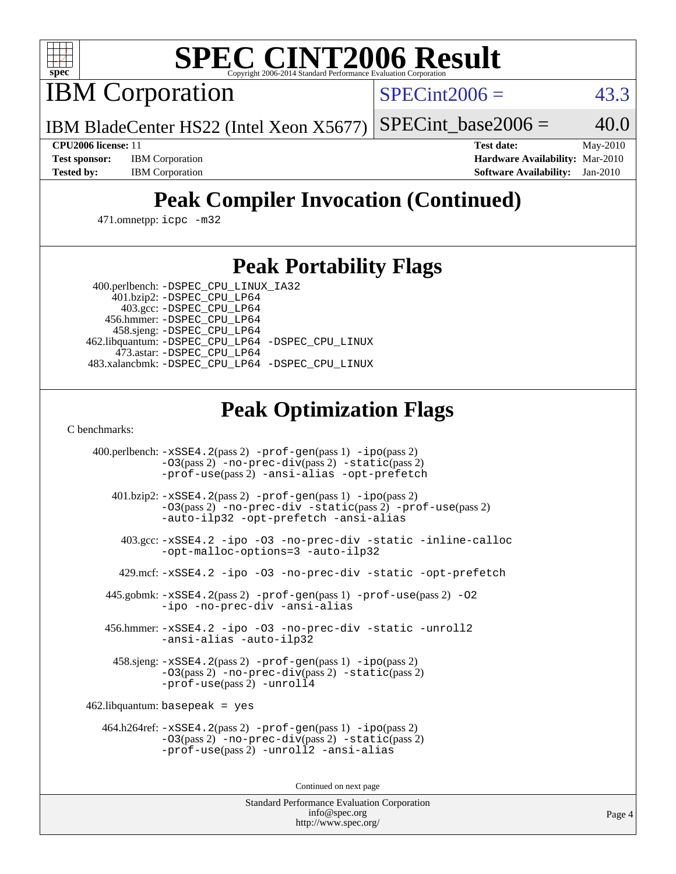

# **[SPEC CINT2006 Result](http://www.spec.org/auto/cpu2006/Docs/result-fields.html#SPECCINT2006Result)**

IBM Corporation

 $SPECint2006 = 43.3$  $SPECint2006 = 43.3$ 

IBM BladeCenter HS22 (Intel Xeon X5677) SPECint base2006 =  $40.0$ 

**[CPU2006 license:](http://www.spec.org/auto/cpu2006/Docs/result-fields.html#CPU2006license)** 11 **[Test date:](http://www.spec.org/auto/cpu2006/Docs/result-fields.html#Testdate)** May-2010 **[Test sponsor:](http://www.spec.org/auto/cpu2006/Docs/result-fields.html#Testsponsor)** IBM Corporation **[Hardware Availability:](http://www.spec.org/auto/cpu2006/Docs/result-fields.html#HardwareAvailability)** Mar-2010 **[Tested by:](http://www.spec.org/auto/cpu2006/Docs/result-fields.html#Testedby)** IBM Corporation **[Software Availability:](http://www.spec.org/auto/cpu2006/Docs/result-fields.html#SoftwareAvailability)** Jan-2010

## **[Peak Compiler Invocation \(Continued\)](http://www.spec.org/auto/cpu2006/Docs/result-fields.html#PeakCompilerInvocation)**

471.omnetpp: [icpc -m32](http://www.spec.org/cpu2006/results/res2010q3/cpu2006-20100520-11068.flags.html#user_peakCXXLD471_omnetpp_intel_icpc_32bit_4e5a5ef1a53fd332b3c49e69c3330699)

### **[Peak Portability Flags](http://www.spec.org/auto/cpu2006/Docs/result-fields.html#PeakPortabilityFlags)**

 400.perlbench: [-DSPEC\\_CPU\\_LINUX\\_IA32](http://www.spec.org/cpu2006/results/res2010q3/cpu2006-20100520-11068.flags.html#b400.perlbench_peakCPORTABILITY_DSPEC_CPU_LINUX_IA32) 401.bzip2: [-DSPEC\\_CPU\\_LP64](http://www.spec.org/cpu2006/results/res2010q3/cpu2006-20100520-11068.flags.html#suite_peakPORTABILITY401_bzip2_DSPEC_CPU_LP64)

 403.gcc: [-DSPEC\\_CPU\\_LP64](http://www.spec.org/cpu2006/results/res2010q3/cpu2006-20100520-11068.flags.html#suite_peakPORTABILITY403_gcc_DSPEC_CPU_LP64) 456.hmmer: [-DSPEC\\_CPU\\_LP64](http://www.spec.org/cpu2006/results/res2010q3/cpu2006-20100520-11068.flags.html#suite_peakPORTABILITY456_hmmer_DSPEC_CPU_LP64) 458.sjeng: [-DSPEC\\_CPU\\_LP64](http://www.spec.org/cpu2006/results/res2010q3/cpu2006-20100520-11068.flags.html#suite_peakPORTABILITY458_sjeng_DSPEC_CPU_LP64) 462.libquantum: [-DSPEC\\_CPU\\_LP64](http://www.spec.org/cpu2006/results/res2010q3/cpu2006-20100520-11068.flags.html#suite_peakPORTABILITY462_libquantum_DSPEC_CPU_LP64) [-DSPEC\\_CPU\\_LINUX](http://www.spec.org/cpu2006/results/res2010q3/cpu2006-20100520-11068.flags.html#b462.libquantum_peakCPORTABILITY_DSPEC_CPU_LINUX) 473.astar: [-DSPEC\\_CPU\\_LP64](http://www.spec.org/cpu2006/results/res2010q3/cpu2006-20100520-11068.flags.html#suite_peakPORTABILITY473_astar_DSPEC_CPU_LP64) 483.xalancbmk: [-DSPEC\\_CPU\\_LP64](http://www.spec.org/cpu2006/results/res2010q3/cpu2006-20100520-11068.flags.html#suite_peakPORTABILITY483_xalancbmk_DSPEC_CPU_LP64) [-DSPEC\\_CPU\\_LINUX](http://www.spec.org/cpu2006/results/res2010q3/cpu2006-20100520-11068.flags.html#b483.xalancbmk_peakCXXPORTABILITY_DSPEC_CPU_LINUX)

## **[Peak Optimization Flags](http://www.spec.org/auto/cpu2006/Docs/result-fields.html#PeakOptimizationFlags)**

[C benchmarks](http://www.spec.org/auto/cpu2006/Docs/result-fields.html#Cbenchmarks):

 400.perlbench: [-xSSE4.2](http://www.spec.org/cpu2006/results/res2010q3/cpu2006-20100520-11068.flags.html#user_peakPASS2_CFLAGSPASS2_LDCFLAGS400_perlbench_f-xSSE42_f91528193cf0b216347adb8b939d4107)(pass 2) [-prof-gen](http://www.spec.org/cpu2006/results/res2010q3/cpu2006-20100520-11068.flags.html#user_peakPASS1_CFLAGSPASS1_LDCFLAGS400_perlbench_prof_gen_e43856698f6ca7b7e442dfd80e94a8fc)(pass 1) [-ipo](http://www.spec.org/cpu2006/results/res2010q3/cpu2006-20100520-11068.flags.html#user_peakPASS2_CFLAGSPASS2_LDCFLAGS400_perlbench_f-ipo)(pass 2) [-O3](http://www.spec.org/cpu2006/results/res2010q3/cpu2006-20100520-11068.flags.html#user_peakPASS2_CFLAGSPASS2_LDCFLAGS400_perlbench_f-O3)(pass 2) [-no-prec-div](http://www.spec.org/cpu2006/results/res2010q3/cpu2006-20100520-11068.flags.html#user_peakPASS2_CFLAGSPASS2_LDCFLAGS400_perlbench_f-no-prec-div)(pass 2) [-static](http://www.spec.org/cpu2006/results/res2010q3/cpu2006-20100520-11068.flags.html#user_peakPASS2_CFLAGSPASS2_LDCFLAGS400_perlbench_f-static)(pass 2) [-prof-use](http://www.spec.org/cpu2006/results/res2010q3/cpu2006-20100520-11068.flags.html#user_peakPASS2_CFLAGSPASS2_LDCFLAGS400_perlbench_prof_use_bccf7792157ff70d64e32fe3e1250b55)(pass 2) [-ansi-alias](http://www.spec.org/cpu2006/results/res2010q3/cpu2006-20100520-11068.flags.html#user_peakCOPTIMIZE400_perlbench_f-ansi-alias) [-opt-prefetch](http://www.spec.org/cpu2006/results/res2010q3/cpu2006-20100520-11068.flags.html#user_peakCOPTIMIZE400_perlbench_f-opt-prefetch) 401.bzip2: [-xSSE4.2](http://www.spec.org/cpu2006/results/res2010q3/cpu2006-20100520-11068.flags.html#user_peakPASS2_CFLAGSPASS2_LDCFLAGS401_bzip2_f-xSSE42_f91528193cf0b216347adb8b939d4107)(pass 2) [-prof-gen](http://www.spec.org/cpu2006/results/res2010q3/cpu2006-20100520-11068.flags.html#user_peakPASS1_CFLAGSPASS1_LDCFLAGS401_bzip2_prof_gen_e43856698f6ca7b7e442dfd80e94a8fc)(pass 1) [-ipo](http://www.spec.org/cpu2006/results/res2010q3/cpu2006-20100520-11068.flags.html#user_peakPASS2_CFLAGSPASS2_LDCFLAGS401_bzip2_f-ipo)(pass 2) [-O3](http://www.spec.org/cpu2006/results/res2010q3/cpu2006-20100520-11068.flags.html#user_peakPASS2_CFLAGSPASS2_LDCFLAGS401_bzip2_f-O3)(pass 2) [-no-prec-div](http://www.spec.org/cpu2006/results/res2010q3/cpu2006-20100520-11068.flags.html#user_peakCOPTIMIZEPASS2_CFLAGSPASS2_LDCFLAGS401_bzip2_f-no-prec-div) [-static](http://www.spec.org/cpu2006/results/res2010q3/cpu2006-20100520-11068.flags.html#user_peakPASS2_CFLAGSPASS2_LDCFLAGS401_bzip2_f-static)(pass 2) [-prof-use](http://www.spec.org/cpu2006/results/res2010q3/cpu2006-20100520-11068.flags.html#user_peakPASS2_CFLAGSPASS2_LDCFLAGS401_bzip2_prof_use_bccf7792157ff70d64e32fe3e1250b55)(pass 2) [-auto-ilp32](http://www.spec.org/cpu2006/results/res2010q3/cpu2006-20100520-11068.flags.html#user_peakCOPTIMIZE401_bzip2_f-auto-ilp32) [-opt-prefetch](http://www.spec.org/cpu2006/results/res2010q3/cpu2006-20100520-11068.flags.html#user_peakCOPTIMIZE401_bzip2_f-opt-prefetch) [-ansi-alias](http://www.spec.org/cpu2006/results/res2010q3/cpu2006-20100520-11068.flags.html#user_peakCOPTIMIZE401_bzip2_f-ansi-alias) 403.gcc: [-xSSE4.2](http://www.spec.org/cpu2006/results/res2010q3/cpu2006-20100520-11068.flags.html#user_peakCOPTIMIZE403_gcc_f-xSSE42_f91528193cf0b216347adb8b939d4107) [-ipo](http://www.spec.org/cpu2006/results/res2010q3/cpu2006-20100520-11068.flags.html#user_peakCOPTIMIZE403_gcc_f-ipo) [-O3](http://www.spec.org/cpu2006/results/res2010q3/cpu2006-20100520-11068.flags.html#user_peakCOPTIMIZE403_gcc_f-O3) [-no-prec-div](http://www.spec.org/cpu2006/results/res2010q3/cpu2006-20100520-11068.flags.html#user_peakCOPTIMIZE403_gcc_f-no-prec-div) [-static](http://www.spec.org/cpu2006/results/res2010q3/cpu2006-20100520-11068.flags.html#user_peakCOPTIMIZE403_gcc_f-static) [-inline-calloc](http://www.spec.org/cpu2006/results/res2010q3/cpu2006-20100520-11068.flags.html#user_peakCOPTIMIZE403_gcc_f-inline-calloc) [-opt-malloc-options=3](http://www.spec.org/cpu2006/results/res2010q3/cpu2006-20100520-11068.flags.html#user_peakCOPTIMIZE403_gcc_f-opt-malloc-options_13ab9b803cf986b4ee62f0a5998c2238) [-auto-ilp32](http://www.spec.org/cpu2006/results/res2010q3/cpu2006-20100520-11068.flags.html#user_peakCOPTIMIZE403_gcc_f-auto-ilp32) 429.mcf: [-xSSE4.2](http://www.spec.org/cpu2006/results/res2010q3/cpu2006-20100520-11068.flags.html#user_peakCOPTIMIZE429_mcf_f-xSSE42_f91528193cf0b216347adb8b939d4107) [-ipo](http://www.spec.org/cpu2006/results/res2010q3/cpu2006-20100520-11068.flags.html#user_peakCOPTIMIZE429_mcf_f-ipo) [-O3](http://www.spec.org/cpu2006/results/res2010q3/cpu2006-20100520-11068.flags.html#user_peakCOPTIMIZE429_mcf_f-O3) [-no-prec-div](http://www.spec.org/cpu2006/results/res2010q3/cpu2006-20100520-11068.flags.html#user_peakCOPTIMIZE429_mcf_f-no-prec-div) [-static](http://www.spec.org/cpu2006/results/res2010q3/cpu2006-20100520-11068.flags.html#user_peakCOPTIMIZE429_mcf_f-static) [-opt-prefetch](http://www.spec.org/cpu2006/results/res2010q3/cpu2006-20100520-11068.flags.html#user_peakCOPTIMIZE429_mcf_f-opt-prefetch) 445.gobmk: [-xSSE4.2](http://www.spec.org/cpu2006/results/res2010q3/cpu2006-20100520-11068.flags.html#user_peakPASS2_CFLAGSPASS2_LDCFLAGS445_gobmk_f-xSSE42_f91528193cf0b216347adb8b939d4107)(pass 2) [-prof-gen](http://www.spec.org/cpu2006/results/res2010q3/cpu2006-20100520-11068.flags.html#user_peakPASS1_CFLAGSPASS1_LDCFLAGS445_gobmk_prof_gen_e43856698f6ca7b7e442dfd80e94a8fc)(pass 1) [-prof-use](http://www.spec.org/cpu2006/results/res2010q3/cpu2006-20100520-11068.flags.html#user_peakPASS2_CFLAGSPASS2_LDCFLAGS445_gobmk_prof_use_bccf7792157ff70d64e32fe3e1250b55)(pass 2) [-O2](http://www.spec.org/cpu2006/results/res2010q3/cpu2006-20100520-11068.flags.html#user_peakCOPTIMIZE445_gobmk_f-O2) [-ipo](http://www.spec.org/cpu2006/results/res2010q3/cpu2006-20100520-11068.flags.html#user_peakCOPTIMIZE445_gobmk_f-ipo) [-no-prec-div](http://www.spec.org/cpu2006/results/res2010q3/cpu2006-20100520-11068.flags.html#user_peakCOPTIMIZE445_gobmk_f-no-prec-div) [-ansi-alias](http://www.spec.org/cpu2006/results/res2010q3/cpu2006-20100520-11068.flags.html#user_peakCOPTIMIZE445_gobmk_f-ansi-alias) 456.hmmer: [-xSSE4.2](http://www.spec.org/cpu2006/results/res2010q3/cpu2006-20100520-11068.flags.html#user_peakCOPTIMIZE456_hmmer_f-xSSE42_f91528193cf0b216347adb8b939d4107) [-ipo](http://www.spec.org/cpu2006/results/res2010q3/cpu2006-20100520-11068.flags.html#user_peakCOPTIMIZE456_hmmer_f-ipo) [-O3](http://www.spec.org/cpu2006/results/res2010q3/cpu2006-20100520-11068.flags.html#user_peakCOPTIMIZE456_hmmer_f-O3) [-no-prec-div](http://www.spec.org/cpu2006/results/res2010q3/cpu2006-20100520-11068.flags.html#user_peakCOPTIMIZE456_hmmer_f-no-prec-div) [-static](http://www.spec.org/cpu2006/results/res2010q3/cpu2006-20100520-11068.flags.html#user_peakCOPTIMIZE456_hmmer_f-static) [-unroll2](http://www.spec.org/cpu2006/results/res2010q3/cpu2006-20100520-11068.flags.html#user_peakCOPTIMIZE456_hmmer_f-unroll_784dae83bebfb236979b41d2422d7ec2) [-ansi-alias](http://www.spec.org/cpu2006/results/res2010q3/cpu2006-20100520-11068.flags.html#user_peakCOPTIMIZE456_hmmer_f-ansi-alias) [-auto-ilp32](http://www.spec.org/cpu2006/results/res2010q3/cpu2006-20100520-11068.flags.html#user_peakCOPTIMIZE456_hmmer_f-auto-ilp32) 458.sjeng: [-xSSE4.2](http://www.spec.org/cpu2006/results/res2010q3/cpu2006-20100520-11068.flags.html#user_peakPASS2_CFLAGSPASS2_LDCFLAGS458_sjeng_f-xSSE42_f91528193cf0b216347adb8b939d4107)(pass 2) [-prof-gen](http://www.spec.org/cpu2006/results/res2010q3/cpu2006-20100520-11068.flags.html#user_peakPASS1_CFLAGSPASS1_LDCFLAGS458_sjeng_prof_gen_e43856698f6ca7b7e442dfd80e94a8fc)(pass 1) [-ipo](http://www.spec.org/cpu2006/results/res2010q3/cpu2006-20100520-11068.flags.html#user_peakPASS2_CFLAGSPASS2_LDCFLAGS458_sjeng_f-ipo)(pass 2) [-O3](http://www.spec.org/cpu2006/results/res2010q3/cpu2006-20100520-11068.flags.html#user_peakPASS2_CFLAGSPASS2_LDCFLAGS458_sjeng_f-O3)(pass 2) [-no-prec-div](http://www.spec.org/cpu2006/results/res2010q3/cpu2006-20100520-11068.flags.html#user_peakPASS2_CFLAGSPASS2_LDCFLAGS458_sjeng_f-no-prec-div)(pass 2) [-static](http://www.spec.org/cpu2006/results/res2010q3/cpu2006-20100520-11068.flags.html#user_peakPASS2_CFLAGSPASS2_LDCFLAGS458_sjeng_f-static)(pass 2) [-prof-use](http://www.spec.org/cpu2006/results/res2010q3/cpu2006-20100520-11068.flags.html#user_peakPASS2_CFLAGSPASS2_LDCFLAGS458_sjeng_prof_use_bccf7792157ff70d64e32fe3e1250b55)(pass 2) [-unroll4](http://www.spec.org/cpu2006/results/res2010q3/cpu2006-20100520-11068.flags.html#user_peakCOPTIMIZE458_sjeng_f-unroll_4e5e4ed65b7fd20bdcd365bec371b81f) 462.libquantum: basepeak = yes 464.h264ref: [-xSSE4.2](http://www.spec.org/cpu2006/results/res2010q3/cpu2006-20100520-11068.flags.html#user_peakPASS2_CFLAGSPASS2_LDCFLAGS464_h264ref_f-xSSE42_f91528193cf0b216347adb8b939d4107)(pass 2) [-prof-gen](http://www.spec.org/cpu2006/results/res2010q3/cpu2006-20100520-11068.flags.html#user_peakPASS1_CFLAGSPASS1_LDCFLAGS464_h264ref_prof_gen_e43856698f6ca7b7e442dfd80e94a8fc)(pass 1) [-ipo](http://www.spec.org/cpu2006/results/res2010q3/cpu2006-20100520-11068.flags.html#user_peakPASS2_CFLAGSPASS2_LDCFLAGS464_h264ref_f-ipo)(pass 2) [-O3](http://www.spec.org/cpu2006/results/res2010q3/cpu2006-20100520-11068.flags.html#user_peakPASS2_CFLAGSPASS2_LDCFLAGS464_h264ref_f-O3)(pass 2) [-no-prec-div](http://www.spec.org/cpu2006/results/res2010q3/cpu2006-20100520-11068.flags.html#user_peakPASS2_CFLAGSPASS2_LDCFLAGS464_h264ref_f-no-prec-div)(pass 2) [-static](http://www.spec.org/cpu2006/results/res2010q3/cpu2006-20100520-11068.flags.html#user_peakPASS2_CFLAGSPASS2_LDCFLAGS464_h264ref_f-static)(pass 2) [-prof-use](http://www.spec.org/cpu2006/results/res2010q3/cpu2006-20100520-11068.flags.html#user_peakPASS2_CFLAGSPASS2_LDCFLAGS464_h264ref_prof_use_bccf7792157ff70d64e32fe3e1250b55)(pass 2) [-unroll2](http://www.spec.org/cpu2006/results/res2010q3/cpu2006-20100520-11068.flags.html#user_peakCOPTIMIZE464_h264ref_f-unroll_784dae83bebfb236979b41d2422d7ec2) [-ansi-alias](http://www.spec.org/cpu2006/results/res2010q3/cpu2006-20100520-11068.flags.html#user_peakCOPTIMIZE464_h264ref_f-ansi-alias)

Continued on next page

Standard Performance Evaluation Corporation [info@spec.org](mailto:info@spec.org) <http://www.spec.org/>